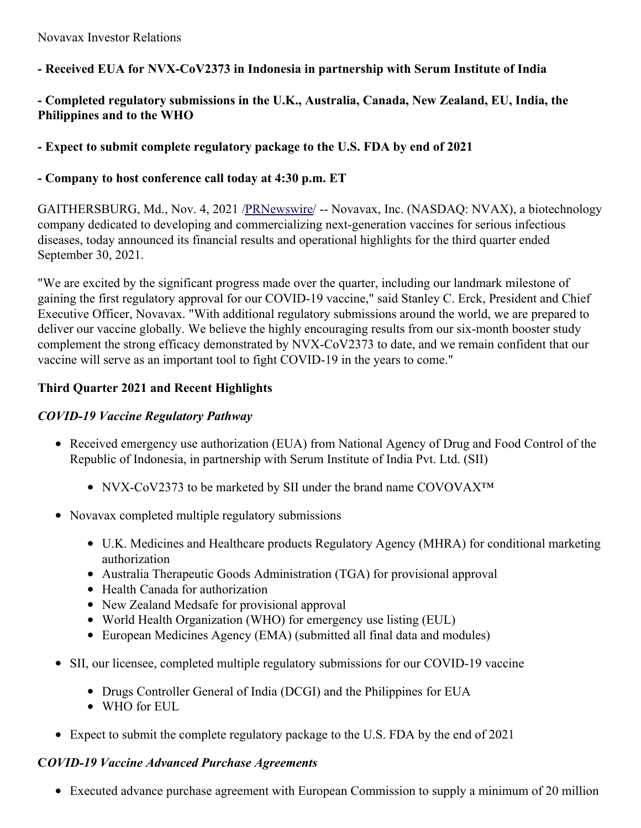**- Received EUA for NVX-CoV2373 in Indonesia in partnership with Serum Institute of India**

# **- Completed regulatory submissions in the U.K., Australia, Canada, New Zealand, EU, India, the Philippines and to the WHO**

# **- Expect to submit complete regulatory package to the U.S. FDA by end of 2021**

# **- Company to host conference call today at 4:30 p.m. ET**

GAITHERSBURG, Md., Nov. 4, 2021 [/PRNewswire](http://www.prnewswire.com/)/ -- Novavax, Inc. (NASDAQ: NVAX), a biotechnology company dedicated to developing and commercializing next-generation vaccines for serious infectious diseases, today announced its financial results and operational highlights for the third quarter ended September 30, 2021.

"We are excited by the significant progress made over the quarter, including our landmark milestone of gaining the first regulatory approval for our COVID-19 vaccine," said Stanley C. Erck, President and Chief Executive Officer, Novavax. "With additional regulatory submissions around the world, we are prepared to deliver our vaccine globally. We believe the highly encouraging results from our six-month booster study complement the strong efficacy demonstrated by NVX-CoV2373 to date, and we remain confident that our vaccine will serve as an important tool to fight COVID-19 in the years to come."

# **Third Quarter 2021 and Recent Highlights**

## *COVID-19 Vaccine Regulatory Pathway*

- Received emergency use authorization (EUA) from National Agency of Drug and Food Control of the Republic of Indonesia, in partnership with Serum Institute of India Pvt. Ltd. (SII)
	- NVX-CoV2373 to be marketed by SII under the brand name COVOVAX<sup>™</sup>
- Novavax completed multiple regulatory submissions
	- U.K. Medicines and Healthcare products Regulatory Agency (MHRA) for conditional marketing authorization
	- Australia Therapeutic Goods Administration (TGA) for provisional approval
	- Health Canada for authorization
	- New Zealand Medsafe for provisional approval
	- World Health Organization (WHO) for emergency use listing (EUL)
	- European Medicines Agency (EMA) (submitted all final data and modules)
- SII, our licensee, completed multiple regulatory submissions for our COVID-19 vaccine
	- Drugs Controller General of India (DCGI) and the Philippines for EUA
	- WHO for EUL
- Expect to submit the complete regulatory package to the U.S. FDA by the end of 2021

# **C***OVID-19 Vaccine Advanced Purchase Agreements*

Executed advance purchase agreement with European Commission to supply a minimum of 20 million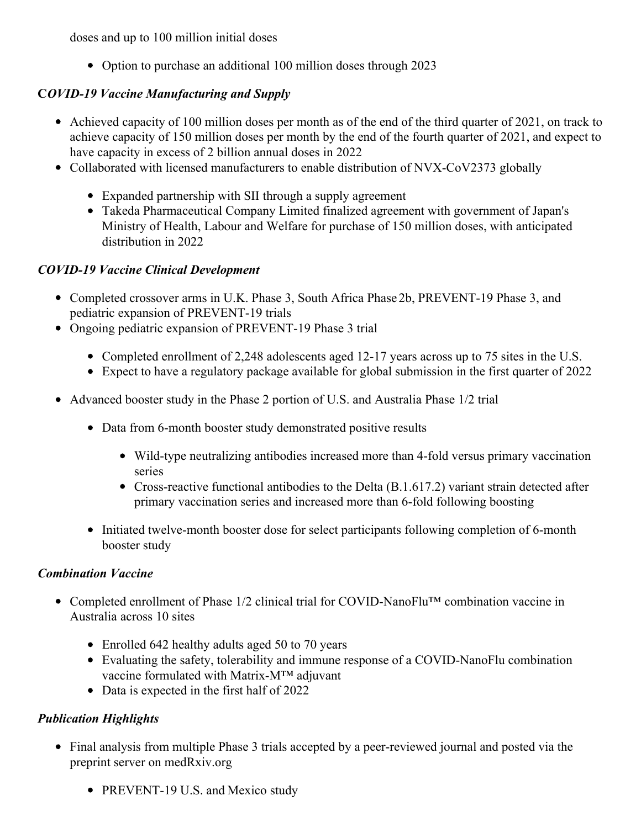doses and up to 100 million initial doses

• Option to purchase an additional 100 million doses through 2023

# **C***OVID-19 Vaccine Manufacturing and Supply*

- Achieved capacity of 100 million doses per month as of the end of the third quarter of 2021, on track to achieve capacity of 150 million doses per month by the end of the fourth quarter of 2021, and expect to have capacity in excess of 2 billion annual doses in 2022
- Collaborated with licensed manufacturers to enable distribution of NVX-CoV2373 globally
	- Expanded partnership with SII through a supply agreement
	- Takeda Pharmaceutical Company Limited finalized agreement with government of Japan's Ministry of Health, Labour and Welfare for purchase of 150 million doses, with anticipated distribution in 2022

## *COVID-19 Vaccine Clinical Development*

- Completed crossover arms in U.K. Phase 3, South Africa Phase 2b, PREVENT-19 Phase 3, and pediatric expansion of PREVENT-19 trials
- Ongoing pediatric expansion of PREVENT-19 Phase 3 trial
	- Completed enrollment of 2,248 adolescents aged 12-17 years across up to 75 sites in the U.S.
	- Expect to have a regulatory package available for global submission in the first quarter of 2022
- Advanced booster study in the Phase 2 portion of U.S. and Australia Phase 1/2 trial
	- Data from 6-month booster study demonstrated positive results
		- Wild-type neutralizing antibodies increased more than 4-fold versus primary vaccination series
		- Cross-reactive functional antibodies to the Delta (B.1.617.2) variant strain detected after primary vaccination series and increased more than 6-fold following boosting
	- Initiated twelve-month booster dose for select participants following completion of 6-month booster study

## *Combination Vaccine*

- Completed enrollment of Phase 1/2 clinical trial for COVID-NanoFlu™ combination vaccine in Australia across 10 sites
	- Enrolled 642 healthy adults aged 50 to 70 years
	- Evaluating the safety, tolerability and immune response of a COVID-NanoFlu combination vaccine formulated with Matrix-M™ adjuvant
	- Data is expected in the first half of 2022

# *Publication Highlights*

- Final analysis from multiple Phase 3 trials accepted by a peer-reviewed journal and posted via the preprint server on medRxiv.org
	- PREVENT-19 U.S. and Mexico study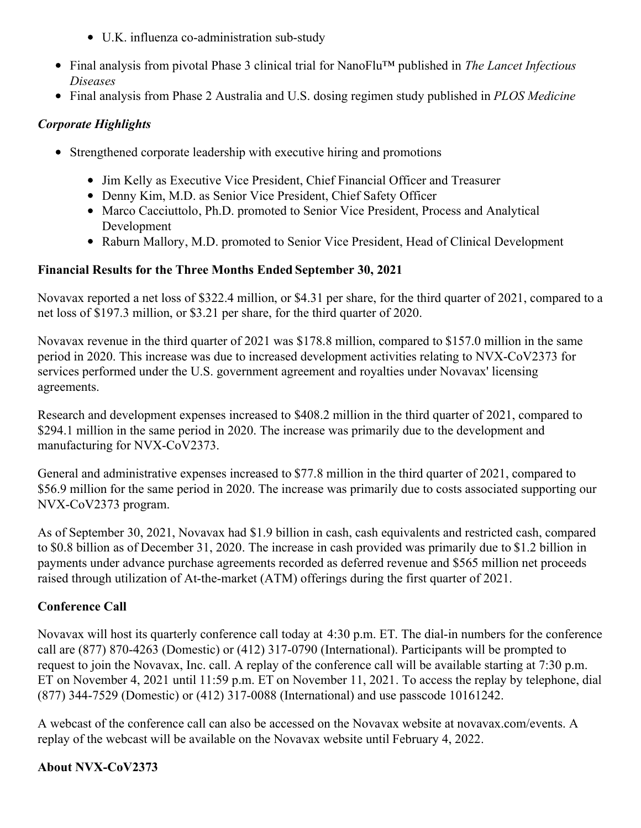- U.K. influenza co-administration sub-study
- Final analysis from pivotal Phase 3 clinical trial for NanoFlu™ published in *The Lancet Infectious Diseases*
- Final analysis from Phase 2 Australia and U.S. dosing regimen study published in *PLOS Medicine*

# *Corporate Highlights*

- Strengthened corporate leadership with executive hiring and promotions
	- Jim Kelly as Executive Vice President, Chief Financial Officer and Treasurer
	- Denny Kim, M.D. as Senior Vice President, Chief Safety Officer
	- Marco Cacciuttolo, Ph.D. promoted to Senior Vice President, Process and Analytical Development
	- Raburn Mallory, M.D. promoted to Senior Vice President, Head of Clinical Development

# **Financial Results for the Three Months Ended September 30, 2021**

Novavax reported a net loss of \$322.4 million, or \$4.31 per share, for the third quarter of 2021, compared to a net loss of \$197.3 million, or \$3.21 per share, for the third quarter of 2020.

Novavax revenue in the third quarter of 2021 was \$178.8 million, compared to \$157.0 million in the same period in 2020. This increase was due to increased development activities relating to NVX-CoV2373 for services performed under the U.S. government agreement and royalties under Novavax' licensing agreements.

Research and development expenses increased to \$408.2 million in the third quarter of 2021, compared to \$294.1 million in the same period in 2020. The increase was primarily due to the development and manufacturing for NVX-CoV2373.

General and administrative expenses increased to \$77.8 million in the third quarter of 2021, compared to \$56.9 million for the same period in 2020. The increase was primarily due to costs associated supporting our NVX-CoV2373 program.

As of September 30, 2021, Novavax had \$1.9 billion in cash, cash equivalents and restricted cash, compared to \$0.8 billion as of December 31, 2020. The increase in cash provided was primarily due to \$1.2 billion in payments under advance purchase agreements recorded as deferred revenue and \$565 million net proceeds raised through utilization of At-the-market (ATM) offerings during the first quarter of 2021.

# **Conference Call**

Novavax will host its quarterly conference call today at 4:30 p.m. ET. The dial-in numbers for the conference call are (877) 870-4263 (Domestic) or (412) 317-0790 (International). Participants will be prompted to request to join the Novavax, Inc. call. A replay of the conference call will be available starting at 7:30 p.m. ET on November 4, 2021 until 11:59 p.m. ET on November 11, 2021. To access the replay by telephone, dial (877) 344-7529 (Domestic) or (412) 317-0088 (International) and use passcode 10161242.

A webcast of the conference call can also be accessed on the Novavax website at novavax.com/events. A replay of the webcast will be available on the Novavax website until February 4, 2022.

## **About NVX-CoV2373**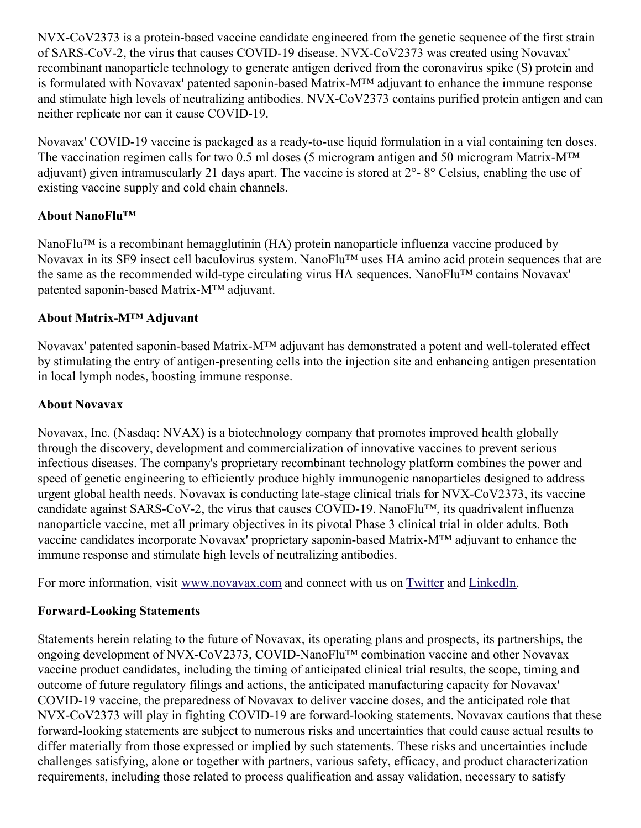NVX-CoV2373 is a protein-based vaccine candidate engineered from the genetic sequence of the first strain of SARS-CoV-2, the virus that causes COVID-19 disease. NVX-CoV2373 was created using Novavax' recombinant nanoparticle technology to generate antigen derived from the coronavirus spike (S) protein and is formulated with Novavax' patented saponin-based Matrix-M™ adjuvant to enhance the immune response and stimulate high levels of neutralizing antibodies. NVX-CoV2373 contains purified protein antigen and can neither replicate nor can it cause COVID-19.

Novavax' COVID-19 vaccine is packaged as a ready-to-use liquid formulation in a vial containing ten doses. The vaccination regimen calls for two 0.5 ml doses (5 microgram antigen and 50 microgram Matrix-M<sup>™</sup> adjuvant) given intramuscularly 21 days apart. The vaccine is stored at 2°- 8° Celsius, enabling the use of existing vaccine supply and cold chain channels.

# **About NanoFlu™**

NanoFlu™ is a recombinant hemagglutinin (HA) protein nanoparticle influenza vaccine produced by Novavax in its SF9 insect cell baculovirus system. NanoFlu™ uses HA amino acid protein sequences that are the same as the recommended wild-type circulating virus HA sequences. NanoFlu™ contains Novavax' patented saponin-based Matrix-M™ adjuvant.

# **About Matrix-M™ Adjuvant**

Novavax' patented saponin-based Matrix-M™ adjuvant has demonstrated a potent and well-tolerated effect by stimulating the entry of antigen-presenting cells into the injection site and enhancing antigen presentation in local lymph nodes, boosting immune response.

## **About Novavax**

Novavax, Inc. (Nasdaq: NVAX) is a biotechnology company that promotes improved health globally through the discovery, development and commercialization of innovative vaccines to prevent serious infectious diseases. The company's proprietary recombinant technology platform combines the power and speed of genetic engineering to efficiently produce highly immunogenic nanoparticles designed to address urgent global health needs. Novavax is conducting late-stage clinical trials for NVX-CoV2373, its vaccine candidate against SARS-CoV-2, the virus that causes COVID-19. NanoFlu™, its quadrivalent influenza nanoparticle vaccine, met all primary objectives in its pivotal Phase 3 clinical trial in older adults. Both vaccine candidates incorporate Novavax' proprietary saponin-based Matrix-M™ adjuvant to enhance the immune response and stimulate high levels of neutralizing antibodies.

For more information, visit [www.novavax.com](https://c212.net/c/link/?t=0&l=en&o=3347996-1&h=3450494230&u=https%3A%2F%2Fwww.novavax.com%2F&a=www.novavax.com) and connect with us on [Twitter](https://c212.net/c/link/?t=0&l=en&o=3347996-1&h=889259144&u=https%3A%2F%2Ftwitter.com%2FNovavax&a=Twitter) and [LinkedIn](https://c212.net/c/link/?t=0&l=en&o=3347996-1&h=3865356269&u=https%3A%2F%2Fwww.linkedin.com%2Fcompany%2Fnovavax%2Fmycompany%2F&a=LinkedIn).

# **Forward-Looking Statements**

Statements herein relating to the future of Novavax, its operating plans and prospects, its partnerships, the ongoing development of NVX-CoV2373, COVID-NanoFlu™ combination vaccine and other Novavax vaccine product candidates, including the timing of anticipated clinical trial results, the scope, timing and outcome of future regulatory filings and actions, the anticipated manufacturing capacity for Novavax' COVID-19 vaccine, the preparedness of Novavax to deliver vaccine doses, and the anticipated role that NVX-CoV2373 will play in fighting COVID-19 are forward-looking statements. Novavax cautions that these forward-looking statements are subject to numerous risks and uncertainties that could cause actual results to differ materially from those expressed or implied by such statements. These risks and uncertainties include challenges satisfying, alone or together with partners, various safety, efficacy, and product characterization requirements, including those related to process qualification and assay validation, necessary to satisfy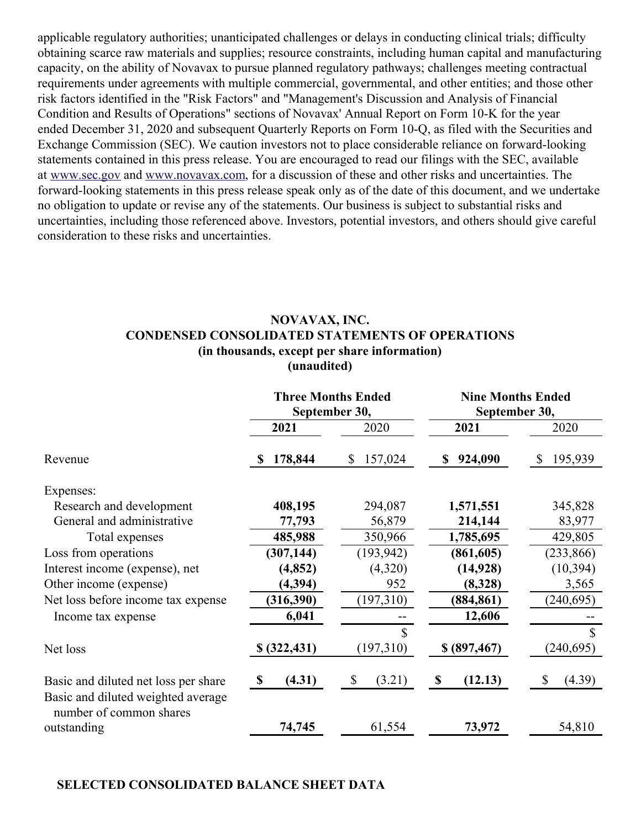applicable regulatory authorities; unanticipated challenges or delays in conducting clinical trials; difficulty obtaining scarce raw materials and supplies; resource constraints, including human capital and manufacturing capacity, on the ability of Novavax to pursue planned regulatory pathways; challenges meeting contractual requirements under agreements with multiple commercial, governmental, and other entities; and those other risk factors identified in the "Risk Factors" and "Management's Discussion and Analysis of Financial Condition and Results of Operations" sections of Novavax' Annual Report on Form 10-K for the year ended December 31, 2020 and subsequent Quarterly Reports on Form 10-Q, as filed with the Securities and Exchange Commission (SEC). We caution investors not to place considerable reliance on forward-looking statements contained in this press release. You are encouraged to read our filings with the SEC, available at [www.sec.gov](https://c212.net/c/link/?t=0&l=en&o=3347996-1&h=775330350&u=https%3A%2F%2Fc212.net%2Fc%2Flink%2F%3Ft%3D0%26l%3Den%26o%3D3337168-1%26h%3D936277454%26u%3Dhttp%253A%252F%252Fwww.sec.gov%252F%26a%3Dwww.sec.gov&a=www.sec.gov) and [www.novavax.com](https://c212.net/c/link/?t=0&l=en&o=3347996-1&h=968510205&u=https%3A%2F%2Fc212.net%2Fc%2Flink%2F%3Ft%3D0%26l%3Den%26o%3D3337168-1%26h%3D854862174%26u%3Dhttp%253A%252F%252Fwww.novavax.com%252F%26a%3Dwww.novavax.com&a=www.novavax.com), for a discussion of these and other risks and uncertainties. The forward-looking statements in this press release speak only as of the date of this document, and we undertake no obligation to update or revise any of the statements. Our business is subject to substantial risks and uncertainties, including those referenced above. Investors, potential investors, and others should give careful consideration to these risks and uncertainties.

#### **NOVAVAX, INC. CONDENSED CONSOLIDATED STATEMENTS OF OPERATIONS (in thousands, except per share information) (unaudited)**

|                                                                              | <b>Three Months Ended</b><br>September 30, |                        | <b>Nine Months Ended</b><br>September 30, |                         |
|------------------------------------------------------------------------------|--------------------------------------------|------------------------|-------------------------------------------|-------------------------|
|                                                                              | 2021                                       | 2020                   | 2021                                      | 2020                    |
| Revenue                                                                      | 178,844                                    | 157,024<br>\$          | 924,090<br>\$                             | 195,939<br>$\mathbb{S}$ |
| Expenses:                                                                    |                                            |                        |                                           |                         |
| Research and development                                                     | 408,195                                    | 294,087                | 1,571,551                                 | 345,828                 |
| General and administrative                                                   | 77,793                                     | 56,879                 | 214,144                                   | 83,977                  |
| Total expenses                                                               | 485,988                                    | 350,966                | 1,785,695                                 | 429,805                 |
| Loss from operations                                                         | (307, 144)                                 | (193, 942)             | (861, 605)                                | (233, 866)              |
| Interest income (expense), net                                               | (4, 852)                                   | (4,320)                | (14, 928)                                 | (10, 394)               |
| Other income (expense)                                                       | (4, 394)                                   | 952                    | (8,328)                                   | 3,565                   |
| Net loss before income tax expense                                           | (316,390)                                  | (197,310)              | (884, 861)                                | (240, 695)              |
| Income tax expense                                                           | 6,041                                      |                        | 12,606                                    |                         |
|                                                                              |                                            | S                      |                                           | \$                      |
| Net loss                                                                     | \$ (322, 431)                              | (197,310)              | \$ (897, 467)                             | (240, 695)              |
| Basic and diluted net loss per share                                         | (4.31)<br>- \$                             | $\mathbb{S}$<br>(3.21) | (12.13)<br>$\mathbf{\$}$                  | (4.39)<br>\$            |
| Basic and diluted weighted average<br>number of common shares<br>outstanding | 74,745                                     | 61,554                 | 73,972                                    | 54,810                  |
|                                                                              |                                            |                        |                                           |                         |

#### **SELECTED CONSOLIDATED BALANCE SHEET DATA**